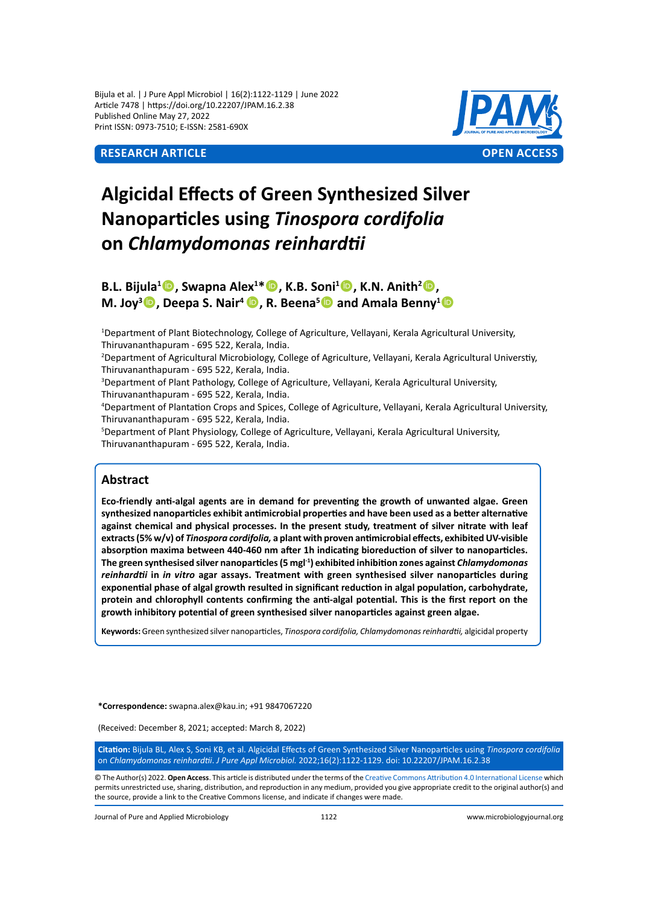Bijula et al. | J Pure Appl Microbiol | 16(2):1122-1129 | June 2022 Article 7478 | https://doi.org/10.22207/JPAM.16.2.38 Published Online May 27, 2022 Print ISSN: 0973-7510; E-ISSN: 2581-690X



# **Algicidal Effects of Green Synthesized Silver Nanoparticles using** *Tinospora cordifolia*  **on** *Chlamydomonas reinhardtii*

**B.L. Bijula<sup>1</sup> , Swapna Alex1 \*, K.B. Soni1 , K.N. Anith<sup>2</sup> , M.** Joy<sup>3</sup> **D**, Deepa S. Nair<sup>4</sup> **D**, R. Beena<sup>s</sup> **D** and Amala Benny<sup>1</sup> **D** 

1 Department of Plant Biotechnology, College of Agriculture, Vellayani, Kerala Agricultural University, Thiruvananthapuram - 695 522, Kerala, India.

2 Department of Agricultural Microbiology, College of Agriculture, Vellayani, Kerala Agricultural Universtiy, Thiruvananthapuram - 695 522, Kerala, India.

3 Department of Plant Pathology, College of Agriculture, Vellayani, Kerala Agricultural University, Thiruvananthapuram - 695 522, Kerala, India.

4 Department of Plantation Crops and Spices, College of Agriculture, Vellayani, Kerala Agricultural University, Thiruvananthapuram - 695 522, Kerala, India.

5 Department of Plant Physiology, College of Agriculture, Vellayani, Kerala Agricultural University, Thiruvananthapuram - 695 522, Kerala, India.

# **Abstract**

**Eco-friendly anti-algal agents are in demand for preventing the growth of unwanted algae. Green synthesized nanoparticles exhibit antimicrobial properties and have been used as a better alternative against chemical and physical processes. In the present study, treatment of silver nitrate with leaf extracts (5% w/v) of** *Tinospora cordifolia,* **a plant with proven antimicrobial effects, exhibited UV-visible absorption maxima between 440-460 nm after 1h indicating bioreduction of silver to nanoparticles. The green synthesised silver nanoparticles (5 mgl-1) exhibited inhibition zones against** *Chlamydomonas reinhardtii* **in** *in vitro* **agar assays. Treatment with green synthesised silver nanoparticles during exponential phase of algal growth resulted in significant reduction in algal population, carbohydrate, protein and chlorophyll contents confirming the anti-algal potential. This is the first report on the growth inhibitory potential of green synthesised silver nanoparticles against green algae.**

**Keywords:** Green synthesized silver nanoparticles, *Tinospora cordifolia, Chlamydomonas reinhardtii,* algicidal property

**\*Correspondence:** swapna.alex@kau.in; +91 9847067220

(Received: December 8, 2021; accepted: March 8, 2022)

**Citation:** Bijula BL, Alex S, Soni KB, et al. Algicidal Effects of Green Synthesized Silver Nanoparticles using *Tinospora cordifolia*  on *Chlamydomonas reinhardtii*. *J Pure Appl Microbiol.* 2022;16(2):1122-1129. doi: 10.22207/JPAM.16.2.38

© The Author(s) 2022. **Open Access**. This article is distributed under the terms of the [Creative Commons Attribution 4.0 International License](https://creativecommons.org/licenses/by/4.0/) which permits unrestricted use, sharing, distribution, and reproduction in any medium, provided you give appropriate credit to the original author(s) and the source, provide a link to the Creative Commons license, and indicate if changes were made.

Journal of Pure and Applied Microbiology 1122 www.microbiologyjournal.org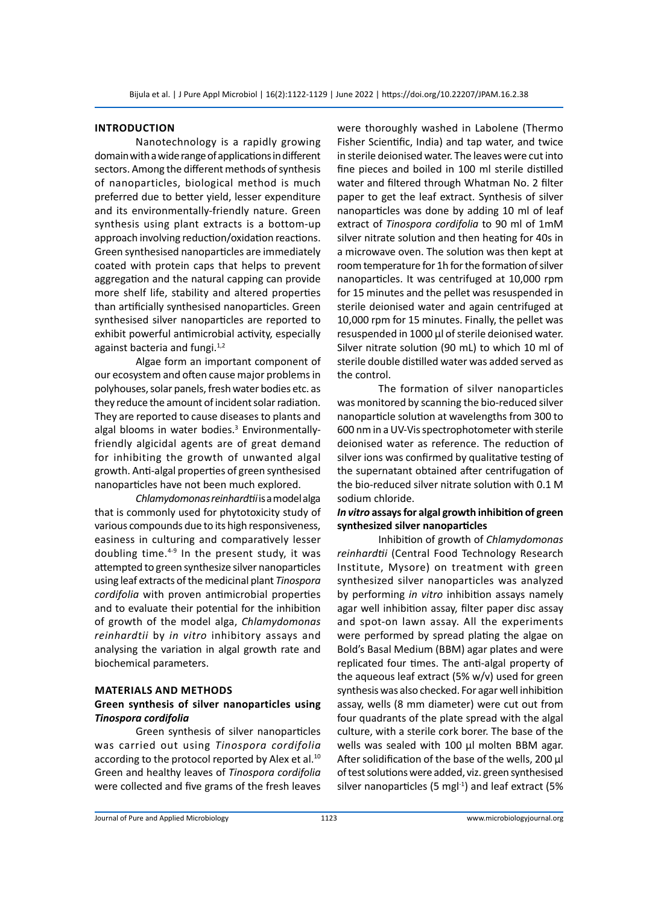#### **Introduction**

Nanotechnology is a rapidly growing domain with a wide range of applications in different sectors. Among the different methods of synthesis of nanoparticles, biological method is much preferred due to better yield, lesser expenditure and its environmentally-friendly nature. Green synthesis using plant extracts is a bottom-up approach involving reduction/oxidation reactions. Green synthesised nanoparticles are immediately coated with protein caps that helps to prevent aggregation and the natural capping can provide more shelf life, stability and altered properties than artificially synthesised nanoparticles. Green synthesised silver nanoparticles are reported to exhibit powerful antimicrobial activity, especially against bacteria and fungi.<sup>1,2</sup>

Algae form an important component of our ecosystem and often cause major problems in polyhouses, solar panels, fresh water bodies etc. as they reduce the amount of incident solar radiation. They are reported to cause diseases to plants and algal blooms in water bodies.<sup>3</sup> Environmentallyfriendly algicidal agents are of great demand for inhibiting the growth of unwanted algal growth. Anti-algal properties of green synthesised nanoparticles have not been much explored.

*Chlamydomonas reinhardtii* is a model alga that is commonly used for phytotoxicity study of various compounds due to its high responsiveness, easiness in culturing and comparatively lesser doubling time.4-9 In the present study, it was attempted to green synthesize silver nanoparticles using leaf extracts of the medicinal plant *Tinospora cordifolia* with proven antimicrobial properties and to evaluate their potential for the inhibition of growth of the model alga, *Chlamydomonas reinhardtii* by *in vitro* inhibitory assays and analysing the variation in algal growth rate and biochemical parameters.

#### **Materials and Methods**

# **Green synthesis of silver nanoparticles using**  *Tinospora cordifolia*

Green synthesis of silver nanoparticles was carried out using *Tinospora cordifolia*  according to the protocol reported by Alex et al.<sup>10</sup> Green and healthy leaves of *Tinospora cordifolia* were collected and five grams of the fresh leaves were thoroughly washed in Labolene (Thermo Fisher Scientific, India) and tap water, and twice in sterile deionised water. The leaves were cut into fine pieces and boiled in 100 ml sterile distilled water and filtered through Whatman No. 2 filter paper to get the leaf extract. Synthesis of silver nanoparticles was done by adding 10 ml of leaf extract of *Tinospora cordifolia* to 90 ml of 1mM silver nitrate solution and then heating for 40s in a microwave oven. The solution was then kept at room temperature for 1h for the formation of silver nanoparticles. It was centrifuged at 10,000 rpm for 15 minutes and the pellet was resuspended in sterile deionised water and again centrifuged at 10,000 rpm for 15 minutes. Finally, the pellet was resuspended in 1000 µl of sterile deionised water. Silver nitrate solution (90 mL) to which 10 ml of sterile double distilled water was added served as the control.

The formation of silver nanoparticles was monitored by scanning the bio-reduced silver nanoparticle solution at wavelengths from 300 to 600 nm in a UV-Vis spectrophotometer with sterile deionised water as reference. The reduction of silver ions was confirmed by qualitative testing of the supernatant obtained after centrifugation of the bio-reduced silver nitrate solution with 0.1 M sodium chloride.

## *In vitro* **assays for algal growth inhibition of green synthesized silver nanoparticles**

Inhibition of growth of *Chlamydomonas reinhardtii* (Central Food Technology Research Institute, Mysore) on treatment with green synthesized silver nanoparticles was analyzed by performing *in vitro* inhibition assays namely agar well inhibition assay, filter paper disc assay and spot-on lawn assay. All the experiments were performed by spread plating the algae on Bold's Basal Medium (BBM) agar plates and were replicated four times. The anti-algal property of the aqueous leaf extract (5% w/v) used for green synthesis was also checked. For agar well inhibition assay, wells (8 mm diameter) were cut out from four quadrants of the plate spread with the algal culture, with a sterile cork borer. The base of the wells was sealed with 100 µl molten BBM agar. After solidification of the base of the wells, 200 µl of test solutions were added, viz. green synthesised silver nanoparticles (5 mg $^{-1}$ ) and leaf extract (5%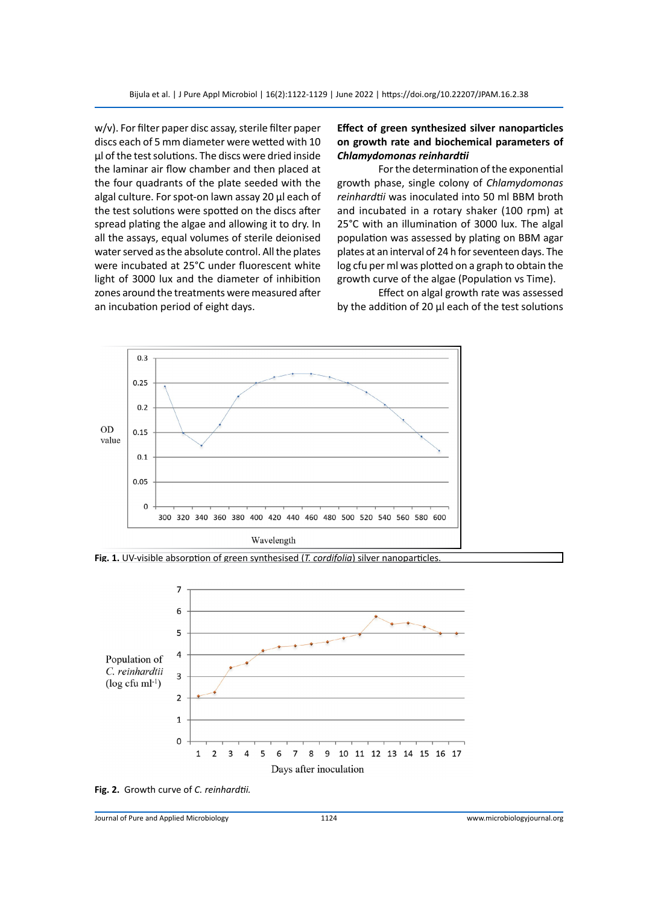w/v). For filter paper disc assay, sterile filter paper discs each of 5 mm diameter were wetted with 10 µl of the test solutions. The discs were dried inside the laminar air flow chamber and then placed at the four quadrants of the plate seeded with the algal culture. For spot-on lawn assay 20 µl each of the test solutions were spotted on the discs after spread plating the algae and allowing it to dry. In all the assays, equal volumes of sterile deionised water served as the absolute control. All the plates were incubated at 25°C under fluorescent white light of 3000 lux and the diameter of inhibition zones around the treatments were measured after an incubation period of eight days.

# **Effect of green synthesized silver nanoparticles on growth rate and biochemical parameters of**  *Chlamydomonas reinhardtii*

For the determination of the exponential growth phase, single colony of *Chlamydomonas reinhardtii* was inoculated into 50 ml BBM broth and incubated in a rotary shaker (100 rpm) at 25°C with an illumination of 3000 lux. The algal population was assessed by plating on BBM agar plates at an interval of 24 h for seventeen days. The log cfu per ml was plotted on a graph to obtain the growth curve of the algae (Population vs Time).

Effect on algal growth rate was assessed by the addition of 20 µl each of the test solutions



**Fig. 1.** UV-visible absorption of green synthesised (*T. cordifolia*) silver nanoparticles.



**Fig. 2.** Growth curve of *C. reinhardtii.*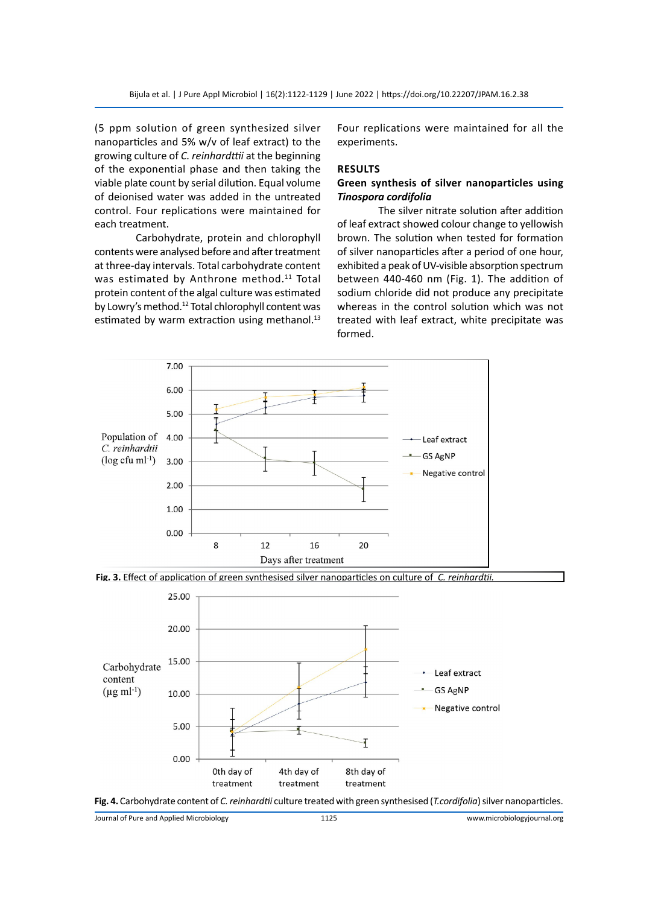(5 ppm solution of green synthesized silver nanoparticles and 5% w/v of leaf extract) to the growing culture of *C. reinhardttii* at the beginning of the exponential phase and then taking the viable plate count by serial dilution. Equal volume of deionised water was added in the untreated control. Four replications were maintained for each treatment.

Carbohydrate, protein and chlorophyll contents were analysed before and after treatment at three-day intervals. Total carbohydrate content was estimated by Anthrone method.<sup>11</sup> Total protein content of the algal culture was estimated by Lowry's method.<sup>12</sup> Total chlorophyll content was estimated by warm extraction using methanol.<sup>13</sup> Four replications were maintained for all the experiments.

#### **Results**

# **Green synthesis of silver nanoparticles using**  *Tinospora cordifolia*

The silver nitrate solution after addition of leaf extract showed colour change to yellowish brown. The solution when tested for formation of silver nanoparticles after a period of one hour, exhibited a peak of UV-visible absorption spectrum between 440-460 nm (Fig. 1). The addition of sodium chloride did not produce any precipitate whereas in the control solution which was not treated with leaf extract, white precipitate was formed.



**Fig. 3.** Effect of application of green synthesised silver nanoparticles on culture of *C. reinhardtii.*





Journal of Pure and Applied Microbiology 1125 www.microbiologyjournal.org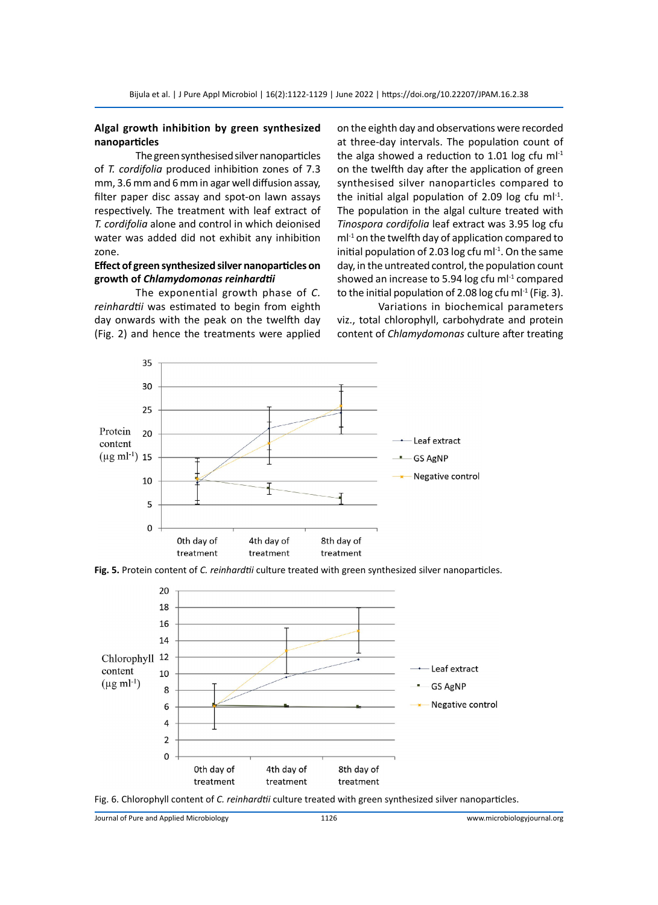## **Algal growth inhibition by green synthesized nanoparticles**

The green synthesised silver nanoparticles of *T. cordifolia* produced inhibition zones of 7.3 mm, 3.6 mm and 6 mm in agar well diffusion assay, filter paper disc assay and spot-on lawn assays respectively. The treatment with leaf extract of *T. cordifolia* alone and control in which deionised water was added did not exhibit any inhibition zone.

# **Effect of green synthesized silver nanoparticles on growth of** *Chlamydomonas reinhardtii*

The exponential growth phase of *C. reinhardtii* was estimated to begin from eighth day onwards with the peak on the twelfth day (Fig. 2) and hence the treatments were applied

on the eighth day and observations were recorded at three-day intervals. The population count of the alga showed a reduction to 1.01 log cfu m $l<sup>-1</sup>$ on the twelfth day after the application of green synthesised silver nanoparticles compared to the initial algal population of 2.09 log cfu m $I^{-1}$ . The population in the algal culture treated with *Tinospora cordifolia* leaf extract was 3.95 log cfu  $ml<sup>-1</sup>$  on the twelfth day of application compared to initial population of 2.03 log cfu m $l^{-1}$ . On the same day, in the untreated control, the population count showed an increase to 5.94 log cfu m $l^{-1}$  compared to the initial population of 2.08 log cfu m $I^1$  (Fig. 3).

Variations in biochemical parameters viz., total chlorophyll, carbohydrate and protein content of *Chlamydomonas* culture after treating









Journal of Pure and Applied Microbiology 1126 www.microbiologyjournal.org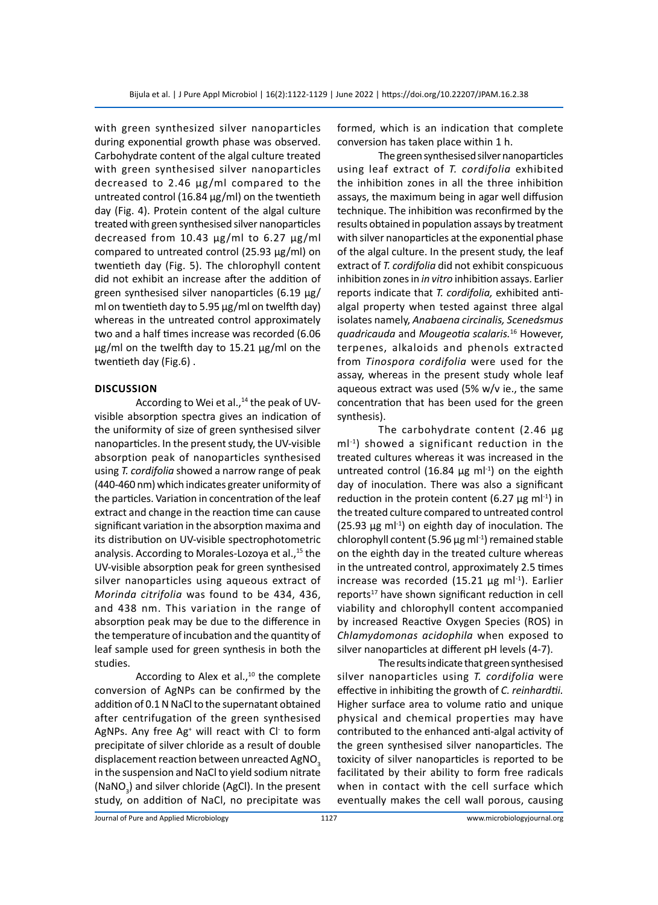with green synthesized silver nanoparticles during exponential growth phase was observed. Carbohydrate content of the algal culture treated with green synthesised silver nanoparticles decreased to 2.46 µg/ml compared to the untreated control (16.84 µg/ml) on the twentieth day (Fig. 4). Protein content of the algal culture treated with green synthesised silver nanoparticles decreased from 10.43 µg/ml to 6.27 µg/ml compared to untreated control (25.93 µg/ml) on twentieth day (Fig. 5). The chlorophyll content did not exhibit an increase after the addition of green synthesised silver nanoparticles (6.19 µg/ ml on twentieth day to 5.95 µg/ml on twelfth day) whereas in the untreated control approximately two and a half times increase was recorded (6.06 µg/ml on the twelfth day to 15.21 µg/ml on the twentieth day (Fig.6) .

#### **Discussion**

According to Wei et al.,<sup>14</sup> the peak of UVvisible absorption spectra gives an indication of the uniformity of size of green synthesised silver nanoparticles. In the present study, the UV-visible absorption peak of nanoparticles synthesised using *T. cordifolia* showed a narrow range of peak (440-460 nm) which indicates greater uniformity of the particles. Variation in concentration of the leaf extract and change in the reaction time can cause significant variation in the absorption maxima and its distribution on UV-visible spectrophotometric analysis. According to Morales-Lozoya et al.,<sup>15</sup> the UV-visible absorption peak for green synthesised silver nanoparticles using aqueous extract of *Morinda citrifolia* was found to be 434, 436, and 438 nm. This variation in the range of absorption peak may be due to the difference in the temperature of incubation and the quantity of leaf sample used for green synthesis in both the studies.

According to Alex et al., $10$  the complete conversion of AgNPs can be confirmed by the addition of 0.1 N NaCl to the supernatant obtained after centrifugation of the green synthesised AgNPs. Any free Ag<sup>+</sup> will react with Cl<sup>-</sup> to form precipitate of silver chloride as a result of double displacement reaction between unreacted AgNO<sub>3</sub> in the suspension and NaCl to yield sodium nitrate (NaNO<sub>3</sub>) and silver chloride (AgCl). In the present study, on addition of NaCl, no precipitate was

formed, which is an indication that complete conversion has taken place within 1 h.

The green synthesised silver nanoparticles using leaf extract of *T. cordifolia* exhibited the inhibition zones in all the three inhibition assays, the maximum being in agar well diffusion technique. The inhibition was reconfirmed by the results obtained in population assays by treatment with silver nanoparticles at the exponential phase of the algal culture. In the present study, the leaf extract of *T. cordifolia* did not exhibit conspicuous inhibition zones in *in vitro* inhibition assays. Earlier reports indicate that *T. cordifolia,* exhibited antialgal property when tested against three algal isolates namely, *Anabaena circinalis, Scenedsmus quadricauda* and *Mougeotia scalaris.*16 However, terpenes, alkaloids and phenols extracted from *Tinospora cordifolia* were used for the assay, whereas in the present study whole leaf aqueous extract was used (5% w/v ie., the same concentration that has been used for the green synthesis).

The carbohydrate content (2.46 µg ml-1) showed a significant reduction in the treated cultures whereas it was increased in the untreated control (16.84  $\mu$ g ml<sup>-1</sup>) on the eighth day of inoculation. There was also a significant reduction in the protein content (6.27  $\mu$ g ml<sup>-1</sup>) in the treated culture compared to untreated control (25.93  $\mu$ g ml<sup>-1</sup>) on eighth day of inoculation. The chlorophyll content (5.96  $\mu$ g ml<sup>-1</sup>) remained stable on the eighth day in the treated culture whereas in the untreated control, approximately 2.5 times increase was recorded (15.21  $\mu$ g ml<sup>-1</sup>). Earlier reports<sup>17</sup> have shown significant reduction in cell viability and chlorophyll content accompanied by increased Reactive Oxygen Species (ROS) in *Chlamydomonas acidophila* when exposed to silver nanoparticles at different pH levels (4-7).

The results indicate that green synthesised silver nanoparticles using *T. cordifolia* were effective in inhibiting the growth of *C. reinhardtii.*  Higher surface area to volume ratio and unique physical and chemical properties may have contributed to the enhanced anti-algal activity of the green synthesised silver nanoparticles. The toxicity of silver nanoparticles is reported to be facilitated by their ability to form free radicals when in contact with the cell surface which eventually makes the cell wall porous, causing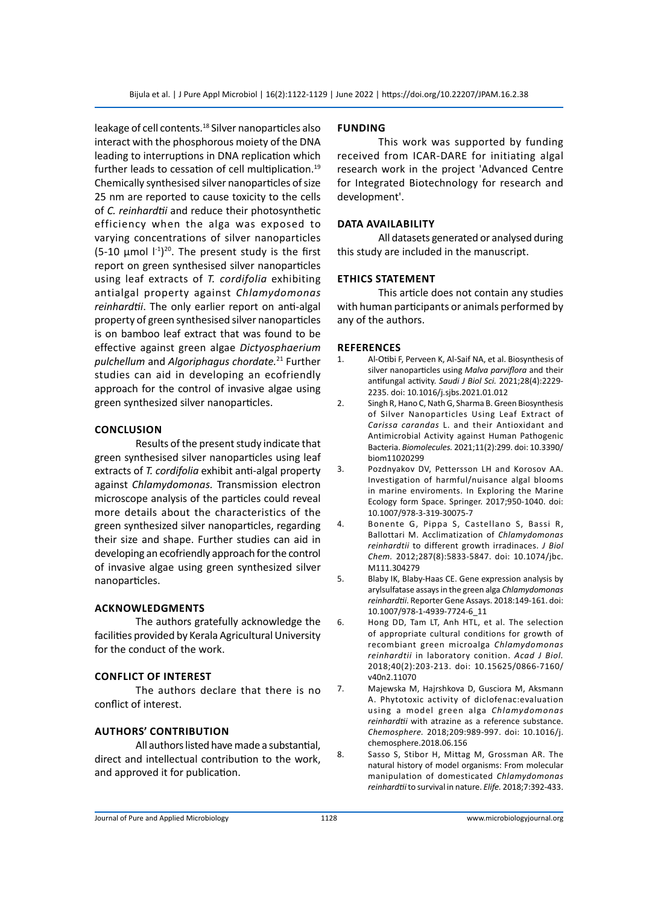leakage of cell contents.<sup>18</sup> Silver nanoparticles also interact with the phosphorous moiety of the DNA leading to interruptions in DNA replication which further leads to cessation of cell multiplication.<sup>19</sup> Chemically synthesised silver nanoparticles of size 25 nm are reported to cause toxicity to the cells of *C. reinhardtii* and reduce their photosynthetic efficiency when the alga was exposed to varying concentrations of silver nanoparticles  $(5\n-10 \mu \text{mol})^{\text{-}1}$ <sup>20</sup>. The present study is the first report on green synthesised silver nanoparticles using leaf extracts of *T. cordifolia* exhibiting antialgal property against *Chlamydomonas reinhardtii*. The only earlier report on anti-algal property of green synthesised silver nanoparticles is on bamboo leaf extract that was found to be effective against green algae *Dictyosphaerium pulchellum* and *Algoriphagus chordate.*21 Further studies can aid in developing an ecofriendly approach for the control of invasive algae using green synthesized silver nanoparticles.

#### **Conclusion**

Results of the present study indicate that green synthesised silver nanoparticles using leaf extracts of *T. cordifolia* exhibit anti-algal property against *Chlamydomonas.* Transmission electron microscope analysis of the particles could reveal more details about the characteristics of the green synthesized silver nanoparticles, regarding their size and shape. Further studies can aid in developing an ecofriendly approach for the control of invasive algae using green synthesized silver nanoparticles.

#### **Acknowledgments**

The authors gratefully acknowledge the facilities provided by Kerala Agricultural University for the conduct of the work.

# **Conflict of interest**

The authors declare that there is no conflict of interest.

# **Authors' contribution**

All authors listed have made a substantial, direct and intellectual contribution to the work, and approved it for publication.

#### **Funding**

This work was supported by funding received from ICAR-DARE for initiating algal research work in the project 'Advanced Centre for Integrated Biotechnology for research and development'.

# **data Availability**

All datasets generated or analysed during this study are included in the manuscript.

# **Ethics statement**

This article does not contain any studies with human participants or animals performed by any of the authors.

#### **References**

- 1. Al-Otibi F, Perveen K, Al-Saif NA, et al. Biosynthesis of silver nanoparticles using *Malva parviflora* and their antifungal activity. *Saudi J Biol Sci.* 2021;28(4):2229- 2235. doi: 10.1016/j.sjbs.2021.01.012
- 2. Singh R, Hano C, Nath G, Sharma B. Green Biosynthesis of Silver Nanoparticles Using Leaf Extract of *Carissa carandas* L. and their Antioxidant and Antimicrobial Activity against Human Pathogenic Bacteria. *Biomolecules.* 2021;11(2):299. doi: 10.3390/ biom11020299
- 3. Pozdnyakov DV, Pettersson LH and Korosov AA. Investigation of harmful/nuisance algal blooms in marine enviroments. In Exploring the Marine Ecology form Space. Springer. 2017;950-1040. doi: 10.1007/978-3-319-30075-7
- 4. Bonente G, Pippa S, Castellano S, Bassi R, Ballottari M. Acclimatization of *Chlamydomonas reinhardtii* to different growth irradinaces. *J Biol Chem.* 2012;287(8):5833-5847. doi: 10.1074/jbc. M111.304279
- 5. Blaby IK, Blaby-Haas CE. Gene expression analysis by arylsulfatase assays in the green alga *Chlamydomonas reinhardtii*. Reporter Gene Assays. 2018:149-161. doi: 10.1007/978-1-4939-7724-6\_11
- 6. Hong DD, Tam LT, Anh HTL, et al. The selection of appropriate cultural conditions for growth of recombiant green microalga *Chlamydomonas reinhardtii* in laboratory conition. *Acad J Biol.* 2018;40(2):203-213. doi: 10.15625/0866-7160/ v40n2.11070
- 7. Majewska M, Hajrshkova D, Gusciora M, Aksmann A. Phytotoxic activity of diclofenac:evaluation using a model green alga *Chlamydomonas reinhardtii* with atrazine as a reference substance. *Chemosphere.* 2018;209:989-997. doi: 10.1016/j. chemosphere.2018.06.156
- 8. Sasso S, Stibor H, Mittag M, Grossman AR. The natural history of model organisms: From molecular manipulation of domesticated *Chlamydomonas reinhardtii* to survival in nature. *Elife.* 2018;7:392-433.